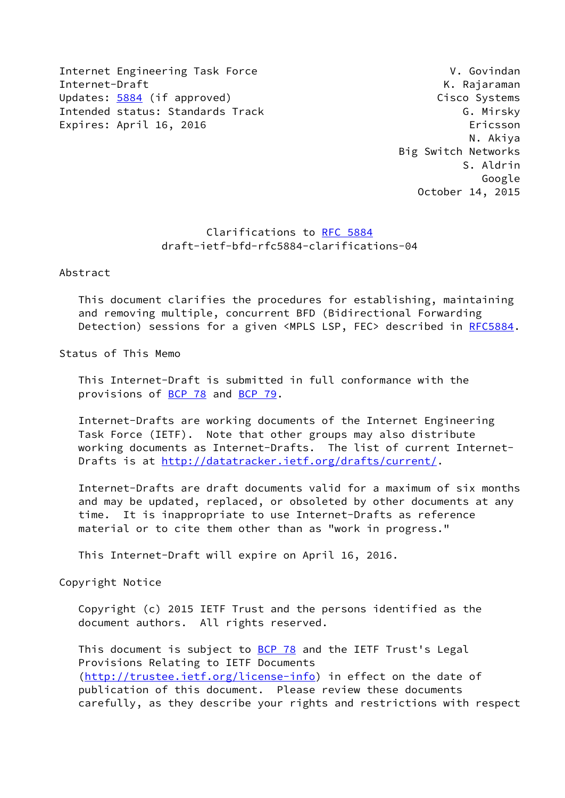Internet Engineering Task Force V. Govindan Internet-Draft K. Rajaraman Updates: [5884](https://datatracker.ietf.org/doc/pdf/rfc5884) (if approved) Cisco Systems Intended status: Standards Track G. Mirsky Expires: April 16, 2016 **Expires: April 16, 2016** 

 N. Akiya Big Switch Networks S. Aldrin Google October 14, 2015

# Clarifications to [RFC 5884](https://datatracker.ietf.org/doc/pdf/rfc5884) draft-ietf-bfd-rfc5884-clarifications-04

Abstract

 This document clarifies the procedures for establishing, maintaining and removing multiple, concurrent BFD (Bidirectional Forwarding Detection) sessions for a given <MPLS LSP, FEC> described in [RFC5884](https://datatracker.ietf.org/doc/pdf/rfc5884).

Status of This Memo

 This Internet-Draft is submitted in full conformance with the provisions of [BCP 78](https://datatracker.ietf.org/doc/pdf/bcp78) and [BCP 79](https://datatracker.ietf.org/doc/pdf/bcp79).

 Internet-Drafts are working documents of the Internet Engineering Task Force (IETF). Note that other groups may also distribute working documents as Internet-Drafts. The list of current Internet- Drafts is at<http://datatracker.ietf.org/drafts/current/>.

 Internet-Drafts are draft documents valid for a maximum of six months and may be updated, replaced, or obsoleted by other documents at any time. It is inappropriate to use Internet-Drafts as reference material or to cite them other than as "work in progress."

This Internet-Draft will expire on April 16, 2016.

Copyright Notice

 Copyright (c) 2015 IETF Trust and the persons identified as the document authors. All rights reserved.

This document is subject to **[BCP 78](https://datatracker.ietf.org/doc/pdf/bcp78)** and the IETF Trust's Legal Provisions Relating to IETF Documents [\(http://trustee.ietf.org/license-info](http://trustee.ietf.org/license-info)) in effect on the date of publication of this document. Please review these documents carefully, as they describe your rights and restrictions with respect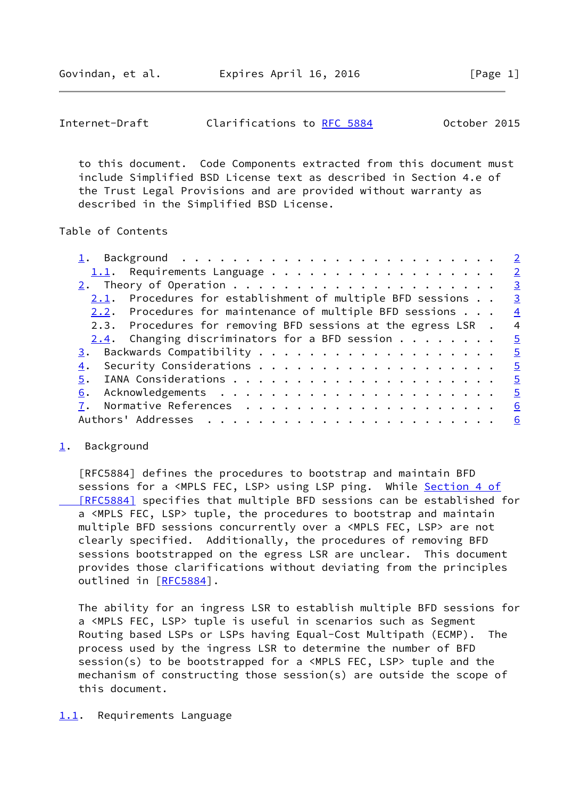<span id="page-1-1"></span>Govindan, et al. Expires April 16, 2016 [Page 1]

 to this document. Code Components extracted from this document must include Simplified BSD License text as described in Section 4.e of the Trust Legal Provisions and are provided without warranty as described in the Simplified BSD License.

## Table of Contents

| <u>1</u> . Background <u>2</u>                                                                          |                          |
|---------------------------------------------------------------------------------------------------------|--------------------------|
| 1.1. Requirements Language $\frac{2}{3}$                                                                |                          |
| 2. Theory of Operation $\cdots$ $\cdots$ $\cdots$ $\cdots$ $\cdots$ $\cdots$ $\cdots$ $\cdots$ $\cdots$ | $\overline{\mathbf{3}}$  |
| $2.1.$ Procedures for establishment of multiple BFD sessions $\ldots$                                   | $\overline{\mathbf{3}}$  |
| 2.2. Procedures for maintenance of multiple BFD sessions $\ldots$                                       | $\frac{4}{1}$            |
| 2.3. Procedures for removing BFD sessions at the egress LSR .                                           | $\overline{4}$           |
| 2.4. Changing discriminators for a BFD session $5$                                                      |                          |
|                                                                                                         | $\frac{5}{2}$            |
| 4.                                                                                                      |                          |
| 5.                                                                                                      | $\overline{\phantom{0}}$ |
|                                                                                                         | $\overline{\phantom{0}}$ |
|                                                                                                         | <u>6</u>                 |
|                                                                                                         | 6                        |
|                                                                                                         |                          |

## <span id="page-1-0"></span>[1](#page-1-0). Background

 [RFC5884] defines the procedures to bootstrap and maintain BFD sessions for a <MPLS FEC, LSP> using LSP ping. While [Section](https://datatracker.ietf.org/doc/pdf/rfc5884#section-4) 4 of  [\[RFC5884\]](https://datatracker.ietf.org/doc/pdf/rfc5884#section-4) specifies that multiple BFD sessions can be established for a <MPLS FEC, LSP> tuple, the procedures to bootstrap and maintain multiple BFD sessions concurrently over a <MPLS FEC, LSP> are not clearly specified. Additionally, the procedures of removing BFD sessions bootstrapped on the egress LSR are unclear. This document provides those clarifications without deviating from the principles outlined in [\[RFC5884](https://datatracker.ietf.org/doc/pdf/rfc5884)].

 The ability for an ingress LSR to establish multiple BFD sessions for a <MPLS FEC, LSP> tuple is useful in scenarios such as Segment Routing based LSPs or LSPs having Equal-Cost Multipath (ECMP). The process used by the ingress LSR to determine the number of BFD session(s) to be bootstrapped for a <MPLS FEC, LSP> tuple and the mechanism of constructing those session(s) are outside the scope of this document.

## <span id="page-1-2"></span>[1.1](#page-1-2). Requirements Language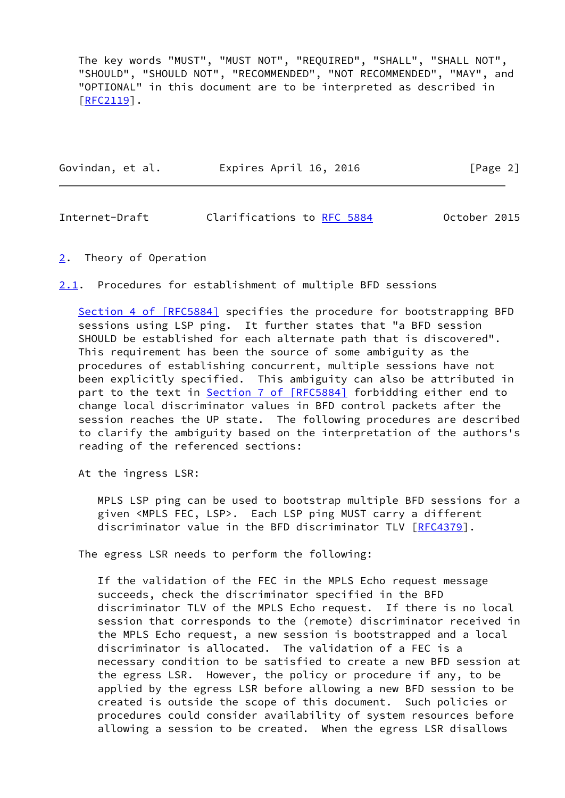The key words "MUST", "MUST NOT", "REQUIRED", "SHALL", "SHALL NOT", "SHOULD", "SHOULD NOT", "RECOMMENDED", "NOT RECOMMENDED", "MAY", and "OPTIONAL" in this document are to be interpreted as described in [\[RFC2119](https://datatracker.ietf.org/doc/pdf/rfc2119)].

| Govindan, et al. | Expires April 16, 2016 | [Page 2] |
|------------------|------------------------|----------|
|                  |                        |          |

<span id="page-2-1"></span>Internet-Draft Clarifications to [RFC 5884](https://datatracker.ietf.org/doc/pdf/rfc5884) October 2015

<span id="page-2-0"></span>[2](#page-2-0). Theory of Operation

<span id="page-2-2"></span>[2.1](#page-2-2). Procedures for establishment of multiple BFD sessions

Section [4 of \[RFC5884\]](https://datatracker.ietf.org/doc/pdf/rfc5884#section-4) specifies the procedure for bootstrapping BFD sessions using LSP ping. It further states that "a BFD session SHOULD be established for each alternate path that is discovered". This requirement has been the source of some ambiguity as the procedures of establishing concurrent, multiple sessions have not been explicitly specified. This ambiguity can also be attributed in part to the text in Section [7 of \[RFC5884\]](https://datatracker.ietf.org/doc/pdf/rfc5884#section-7) forbidding either end to change local discriminator values in BFD control packets after the session reaches the UP state. The following procedures are described to clarify the ambiguity based on the interpretation of the authors's reading of the referenced sections:

At the ingress LSR:

 MPLS LSP ping can be used to bootstrap multiple BFD sessions for a given <MPLS FEC, LSP>. Each LSP ping MUST carry a different discriminator value in the BFD discriminator TLV [\[RFC4379](https://datatracker.ietf.org/doc/pdf/rfc4379)].

The egress LSR needs to perform the following:

 If the validation of the FEC in the MPLS Echo request message succeeds, check the discriminator specified in the BFD discriminator TLV of the MPLS Echo request. If there is no local session that corresponds to the (remote) discriminator received in the MPLS Echo request, a new session is bootstrapped and a local discriminator is allocated. The validation of a FEC is a necessary condition to be satisfied to create a new BFD session at the egress LSR. However, the policy or procedure if any, to be applied by the egress LSR before allowing a new BFD session to be created is outside the scope of this document. Such policies or procedures could consider availability of system resources before allowing a session to be created. When the egress LSR disallows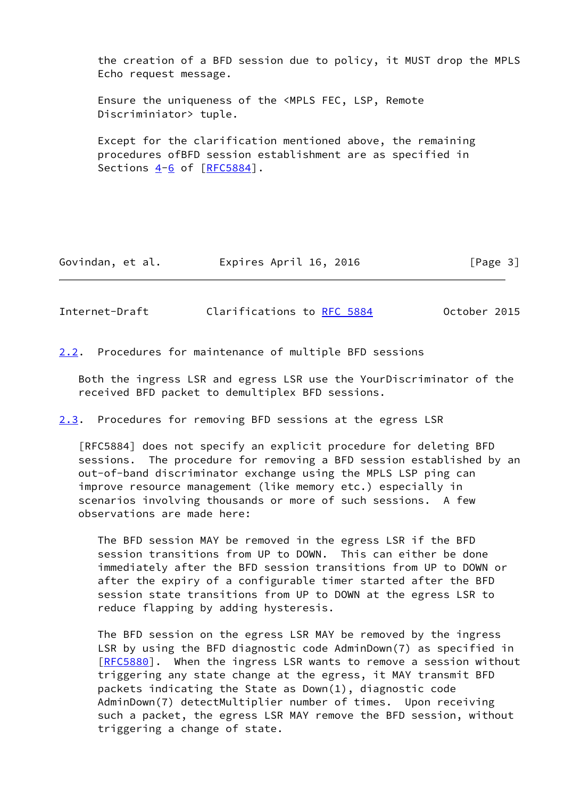the creation of a BFD session due to policy, it MUST drop the MPLS Echo request message.

 Ensure the uniqueness of the <MPLS FEC, LSP, Remote Discriminiator> tuple.

 Except for the clarification mentioned above, the remaining procedures ofBFD session establishment are as specified in Sections  $4-6$  $4-6$  of  $[REC5884]$ .

Govindan, et al. Expires April 16, 2016 [Page 3]

<span id="page-3-1"></span>Internet-Draft Clarifications to [RFC 5884](https://datatracker.ietf.org/doc/pdf/rfc5884) 0ctober 2015

<span id="page-3-0"></span>[2.2](#page-3-0). Procedures for maintenance of multiple BFD sessions

 Both the ingress LSR and egress LSR use the YourDiscriminator of the received BFD packet to demultiplex BFD sessions.

<span id="page-3-2"></span>[2.3](#page-3-2). Procedures for removing BFD sessions at the egress LSR

 [RFC5884] does not specify an explicit procedure for deleting BFD sessions. The procedure for removing a BFD session established by an out-of-band discriminator exchange using the MPLS LSP ping can improve resource management (like memory etc.) especially in scenarios involving thousands or more of such sessions. A few observations are made here:

 The BFD session MAY be removed in the egress LSR if the BFD session transitions from UP to DOWN. This can either be done immediately after the BFD session transitions from UP to DOWN or after the expiry of a configurable timer started after the BFD session state transitions from UP to DOWN at the egress LSR to reduce flapping by adding hysteresis.

 The BFD session on the egress LSR MAY be removed by the ingress LSR by using the BFD diagnostic code AdminDown(7) as specified in [[RFC5880\]](https://datatracker.ietf.org/doc/pdf/rfc5880). When the ingress LSR wants to remove a session without triggering any state change at the egress, it MAY transmit BFD packets indicating the State as  $Down(1)$ , diagnostic code AdminDown(7) detectMultiplier number of times. Upon receiving such a packet, the egress LSR MAY remove the BFD session, without triggering a change of state.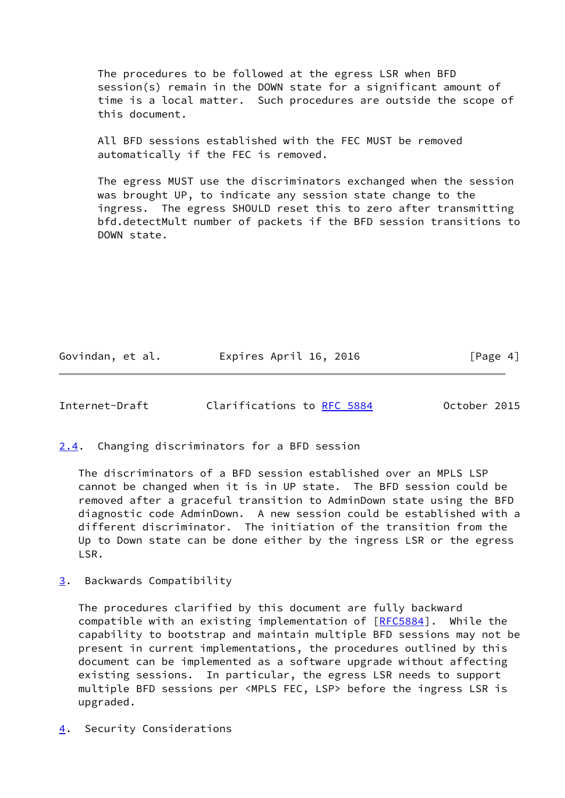The procedures to be followed at the egress LSR when BFD session(s) remain in the DOWN state for a significant amount of time is a local matter. Such procedures are outside the scope of this document.

 All BFD sessions established with the FEC MUST be removed automatically if the FEC is removed.

 The egress MUST use the discriminators exchanged when the session was brought UP, to indicate any session state change to the ingress. The egress SHOULD reset this to zero after transmitting bfd.detectMult number of packets if the BFD session transitions to DOWN state.

Govindan, et al. **Expires April 16, 2016** [Page 4]

<span id="page-4-1"></span>Internet-Draft Clarifications to [RFC 5884](https://datatracker.ietf.org/doc/pdf/rfc5884) October 2015

<span id="page-4-0"></span>[2.4](#page-4-0). Changing discriminators for a BFD session

 The discriminators of a BFD session established over an MPLS LSP cannot be changed when it is in UP state. The BFD session could be removed after a graceful transition to AdminDown state using the BFD diagnostic code AdminDown. A new session could be established with a different discriminator. The initiation of the transition from the Up to Down state can be done either by the ingress LSR or the egress LSR.

<span id="page-4-2"></span>[3](#page-4-2). Backwards Compatibility

 The procedures clarified by this document are fully backward compatible with an existing implementation of [[RFC5884](https://datatracker.ietf.org/doc/pdf/rfc5884)]. While the capability to bootstrap and maintain multiple BFD sessions may not be present in current implementations, the procedures outlined by this document can be implemented as a software upgrade without affecting existing sessions. In particular, the egress LSR needs to support multiple BFD sessions per <MPLS FEC, LSP> before the ingress LSR is upgraded.

<span id="page-4-3"></span>[4](#page-4-3). Security Considerations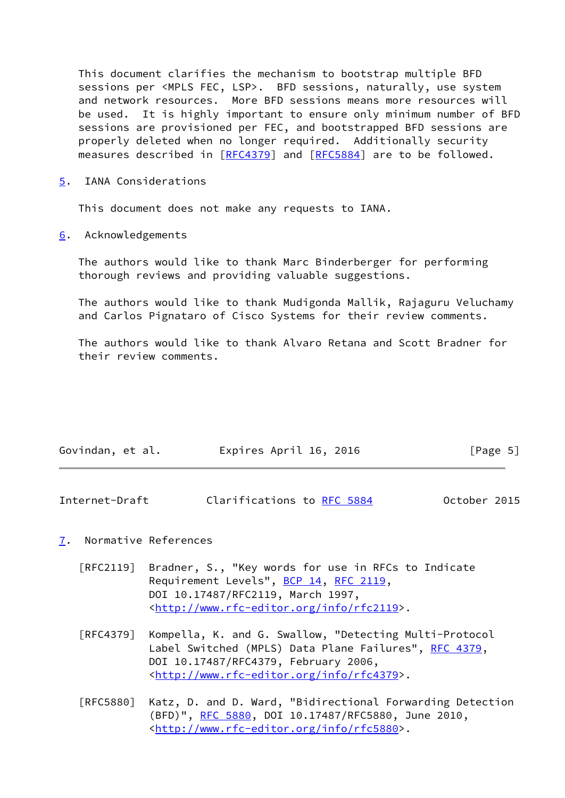This document clarifies the mechanism to bootstrap multiple BFD sessions per <MPLS FEC, LSP>. BFD sessions, naturally, use system and network resources. More BFD sessions means more resources will be used. It is highly important to ensure only minimum number of BFD sessions are provisioned per FEC, and bootstrapped BFD sessions are properly deleted when no longer required. Additionally security measures described in [[RFC4379](https://datatracker.ietf.org/doc/pdf/rfc4379)] and [\[RFC5884](https://datatracker.ietf.org/doc/pdf/rfc5884)] are to be followed.

<span id="page-5-0"></span>[5](#page-5-0). IANA Considerations

This document does not make any requests to IANA.

<span id="page-5-1"></span>[6](#page-5-1). Acknowledgements

 The authors would like to thank Marc Binderberger for performing thorough reviews and providing valuable suggestions.

 The authors would like to thank Mudigonda Mallik, Rajaguru Veluchamy and Carlos Pignataro of Cisco Systems for their review comments.

 The authors would like to thank Alvaro Retana and Scott Bradner for their review comments.

| Govindan, et al. | Expires April 16, 2016 | [Page 5] |
|------------------|------------------------|----------|
|                  |                        |          |

<span id="page-5-3"></span>

| Internet-Draft | Clarifications to RFC 5884 |  |  | October 2015 |  |
|----------------|----------------------------|--|--|--------------|--|
|----------------|----------------------------|--|--|--------------|--|

#### <span id="page-5-2"></span>[7](#page-5-2). Normative References

- [RFC2119] Bradner, S., "Key words for use in RFCs to Indicate Requirement Levels", [BCP 14](https://datatracker.ietf.org/doc/pdf/bcp14), [RFC 2119](https://datatracker.ietf.org/doc/pdf/rfc2119), DOI 10.17487/RFC2119, March 1997, <<http://www.rfc-editor.org/info/rfc2119>>.
- [RFC4379] Kompella, K. and G. Swallow, "Detecting Multi-Protocol Label Switched (MPLS) Data Plane Failures", [RFC 4379,](https://datatracker.ietf.org/doc/pdf/rfc4379) DOI 10.17487/RFC4379, February 2006, <<http://www.rfc-editor.org/info/rfc4379>>.
- [RFC5880] Katz, D. and D. Ward, "Bidirectional Forwarding Detection (BFD)", [RFC 5880,](https://datatracker.ietf.org/doc/pdf/rfc5880) DOI 10.17487/RFC5880, June 2010, <<http://www.rfc-editor.org/info/rfc5880>>.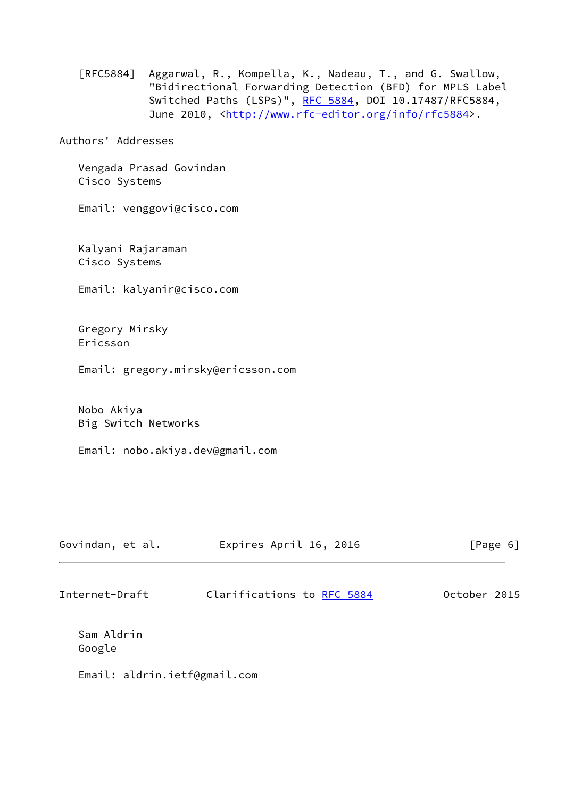[RFC5884] Aggarwal, R., Kompella, K., Nadeau, T., and G. Swallow, "Bidirectional Forwarding Detection (BFD) for MPLS Label Switched Paths (LSPs)", [RFC 5884,](https://datatracker.ietf.org/doc/pdf/rfc5884) DOI 10.17487/RFC5884, June 2010, <<http://www.rfc-editor.org/info/rfc5884>>.

Authors' Addresses

 Vengada Prasad Govindan Cisco Systems

Email: venggovi@cisco.com

 Kalyani Rajaraman Cisco Systems

Email: kalyanir@cisco.com

 Gregory Mirsky Ericsson

Email: gregory.mirsky@ericsson.com

 Nobo Akiya Big Switch Networks

Email: nobo.akiya.dev@gmail.com

| Govindan, et al. | Expires April 16, 2016     | [Page 6]     |  |  |
|------------------|----------------------------|--------------|--|--|
| Internet-Draft   | Clarifications to RFC 5884 | October 2015 |  |  |

 Sam Aldrin Google

Email: aldrin.ietf@gmail.com